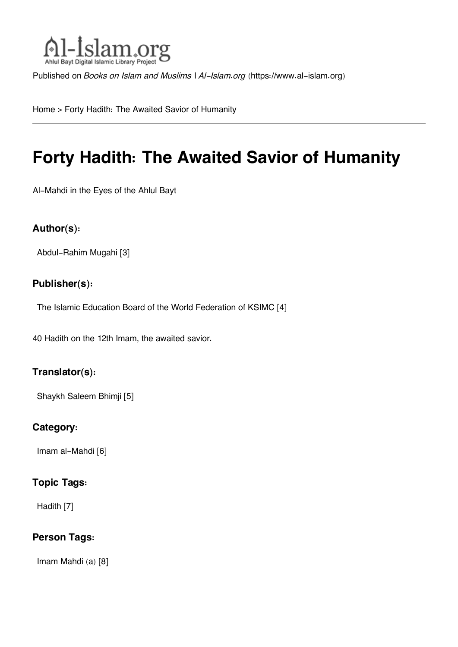

Published on *Books on Islam and Muslims | Al-Islam.org* [\(https://www.al-islam.org](https://www.al-islam.org))

[Home](https://www.al-islam.org/) > Forty Hadith: The Awaited Savior of Humanity

# **Forty Hadith: The Awaited Savior of Humanity**

Al-Mahdi in the Eyes of the Ahlul Bayt

### **Author(s):**

[Abdul-Rahim Mugahi](https://www.al-islam.org/person/abdul-rahim-mugahi) [3]

### **Publisher(s):**

[The Islamic Education Board of the World Federation of KSIMC](https://www.al-islam.org/organization/islamic-education-board-world-federation-ksimc) [4]

40 Hadith on the 12th Imam, the awaited savior.

### **Translator(s):**

[Shaykh Saleem Bhimji](https://www.al-islam.org/person/shaykh-saleem-bhimji) [5]

#### **Category:**

[Imam al-Mahdi](https://www.al-islam.org/library/imam-al-mahdi) [6]

#### **Topic Tags:**

[Hadith](https://www.al-islam.org/tags/hadith) [7]

### **Person Tags:**

[Imam Mahdi \(a\)](https://www.al-islam.org/person/imam-al-mahdi) [8]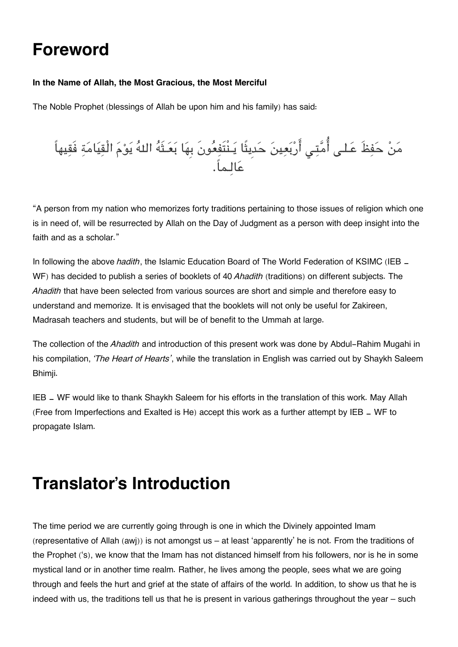# **Foreword**

#### **In the Name of Allah, the Most Gracious, the Most Merciful**

The Noble Prophet (blessings of Allah be upon him and his family) has said:



"A person from my nation who memorizes forty traditions pertaining to those issues of religion which one is in need of, will be resurrected by Allah on the Day of Judgment as a person with deep insight into the faith and as a scholar."

In following the above *hadith*, the Islamic Education Board of The World Federation of KSIMC (IEB  $=$ WF) has decided to publish a series of booklets of 40 *Ahadith* (traditions) on different subjects. The *Ahadith* that have been selected from various sources are short and simple and therefore easy to understand and memorize. It is envisaged that the booklets will not only be useful for Zakireen, Madrasah teachers and students, but will be of benefit to the Ummah at large.

The collection of the *Ahadith* and introduction of this present work was done by Abdul-Rahim Mugahi in his compilation, *'The Heart of Hearts'*, while the translation in English was carried out by Shaykh Saleem Bhimji.

IEB - WF would like to thank Shaykh Saleem for his efforts in the translation of this work. May Allah (Free from Imperfections and Exalted is He) accept this work as a further attempt by IEB ‑ WF to propagate Islam.

# **Translator's Introduction**

The time period we are currently going through is one in which the Divinely appointed Imam (representative of Allah (awj)) is not amongst us – at least 'apparently' he is not. From the traditions of the Prophet ('s), we know that the Imam has not distanced himself from his followers, nor is he in some mystical land or in another time realm. Rather, he lives among the people, sees what we are going through and feels the hurt and grief at the state of affairs of the world. In addition, to show us that he is indeed with us, the traditions tell us that he is present in various gatherings throughout the year – such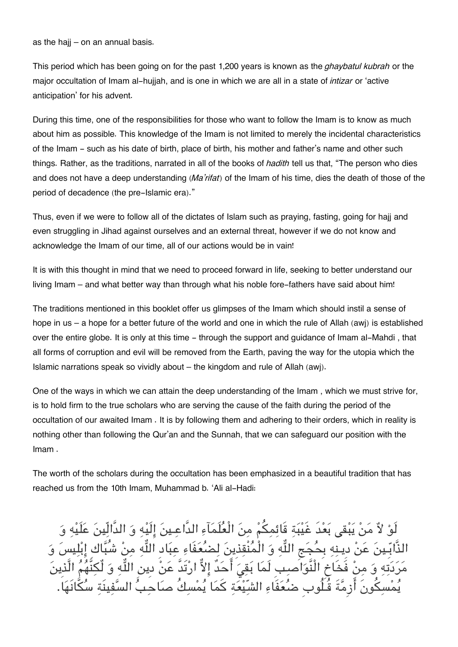as the hajj – on an annual basis.

This period which has been going on for the past 1,200 years is known as the *ghaybatul kubrah* or the major occultation of Imam al-hujjah, and is one in which we are all in a state of *intizar* or 'active anticipation' for his advent.

During this time, one of the responsibilities for those who want to follow the Imam is to know as much about him as possible. This knowledge of the Imam is not limited to merely the incidental characteristics of the Imam - such as his date of birth, place of birth, his mother and father's name and other such things. Rather, as the traditions, narrated in all of the books of *hadith* tell us that, "The person who dies and does not have a deep understanding (*Ma'rifat*) of the Imam of his time, dies the death of those of the period of decadence (the pre-Islamic era)."

Thus, even if we were to follow all of the dictates of Islam such as praying, fasting, going for hajj and even struggling in Jihad against ourselves and an external threat, however if we do not know and acknowledge the Imam of our time, all of our actions would be in vain!

It is with this thought in mind that we need to proceed forward in life, seeking to better understand our living Imam – and what better way than through what his noble fore-fathers have said about him!

The traditions mentioned in this booklet offer us glimpses of the Imam which should instil a sense of hope in us – a hope for a better future of the world and one in which the rule of Allah (awj) is established over the entire globe. It is only at this time - through the support and guidance of Imam al-Mahdi , that all forms of corruption and evil will be removed from the Earth, paving the way for the utopia which the Islamic narrations speak so vividly about – the kingdom and rule of Allah (awj).

One of the ways in which we can attain the deep understanding of the Imam , which we must strive for, is to hold firm to the true scholars who are serving the cause of the faith during the period of the occultation of our awaited Imam . It is by following them and adhering to their orders, which in reality is nothing other than following the Qur'an and the Sunnah, that we can safeguard our position with the Imam .

The worth of the scholars during the occultation has been emphasized in a beautiful tradition that has reached us from the 10th Imam, Muhammad b. 'Ali al-Hadi:

لَوْ لاٌ مَنْ يَبْقى بَعْدَ غَيْبَةِ قَائِمِكُمْ مِنَ الْعُلَمَآءِ الدَّاعِـينَ إِلَيْهِ وَ الدَّالِّينَ عَلَيْهِ وَ الذَّابِّـينَ عَنْ دِينهِ بِحُجَجِ اللَّهِ وَ الْمُنْقِذِينَ لِضُعَفَاءِ عِبَادِ اللَّهِ مِنْ شُبَّاكِ إِبْلِيسَ وَ مَرَدَتِهِ وَ مِنْ فََخَاخ الْنَّوَاصِبِ لَمَا بَقِيَ أَحَدٌ إِلاٌّ ارْتَدَّ عَنْ دِينِ اللَّهِ وَ لُّكِنَّهُمُ الَّذِينَ سَكُونَ أَرْمَّةَ قُـلُوب ضُعَفَاءِ الشّيْعَةِ كَمَا يُمْسِكُ صَاحَبُّ السَّفِينَةِ سُ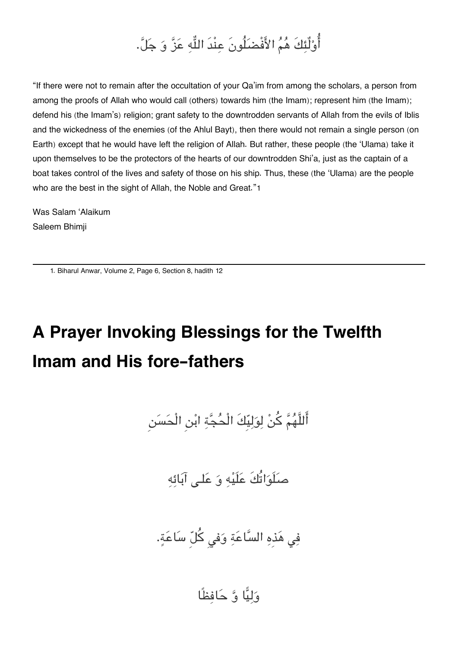# أُوْلُئِكَ هُمُ الأَفْضَلُونَ عِنْدَ اللَّهِ عَزَّ وَ جَلَّ.

"If there were not to remain after the occultation of your Qa'im from among the scholars, a person from among the proofs of Allah who would call (others) towards him (the Imam); represent him (the Imam); defend his (the Imam's) religion; grant safety to the downtrodden servants of Allah from the evils of Iblis and the wickedness of the enemies (of the Ahlul Bayt), then there would not remain a single person (on Earth) except that he would have left the religion of Allah. But rather, these people (the 'Ulama) take it upon themselves to be the protectors of the hearts of our downtrodden Shi'a, just as the captain of a boat takes control of the lives and safety of those on his ship. Thus, these (the 'Ulama) are the people who are the best in the sight of Allah, the Noble and Great."[1](#page--1-0)

Was Salam 'Alaikum Saleem Bhimji

[1.](#page--1-0) Biharul Anwar, Volume 2, Page 6, Section 8, hadith 12

# **A Prayer Invoking Blessings for the Twelfth Imam and His fore-fathers**

اللَّهم كن لوليِكَ الْحجة ابن الْحسن

صلَواتُكَ علَيه و علـ آبائه

فِی هَذهِ السَّاعَةِ وَفی كُلّ سَاعَةٍ.

وليا و حافظًا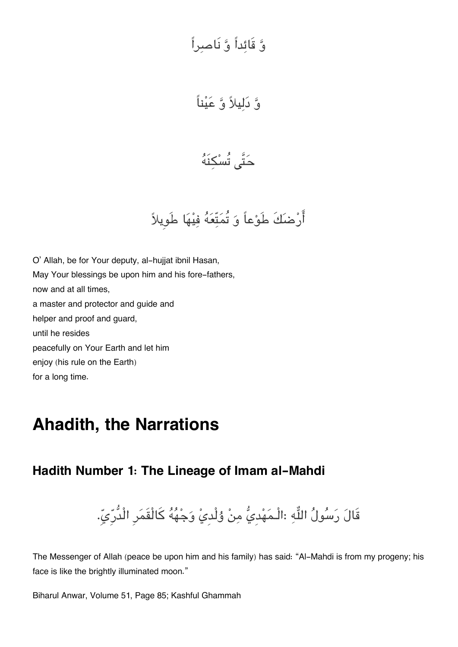# و قَائداً و نَاصراً

و دليلا و عيناً

حَتَّى تُسْكِنَهُ

أَرْضَكَ طَوْعاً وَ تُمَتِّعَهُ فِيْهَا طَوِيلاً

O' Allah, be for Your deputy, al-hujjat ibnil Hasan, May Your blessings be upon him and his fore-fathers, now and at all times, a master and protector and guide and helper and proof and guard, until he resides peacefully on Your Earth and let him enjoy (his rule on the Earth) for a long time.

# **Ahadith, the Narrations**

# **[Hadith Number 1: The Lineage of Imam al-Mahdi](#page--1-0)**

قَالَ رَسُولُ اللَّهِ :الْـمَهْديُّ مِنْ وُلْديْ وَجْهُهُ كَالْقَمَرِ الْدُّرِّيِّ.

The Messenger of Allah (peace be upon him and his family) has said: "Al-Mahdi is from my progeny; his face is like the brightly illuminated moon."

Biharul Anwar, Volume 51, Page 85; Kashful Ghammah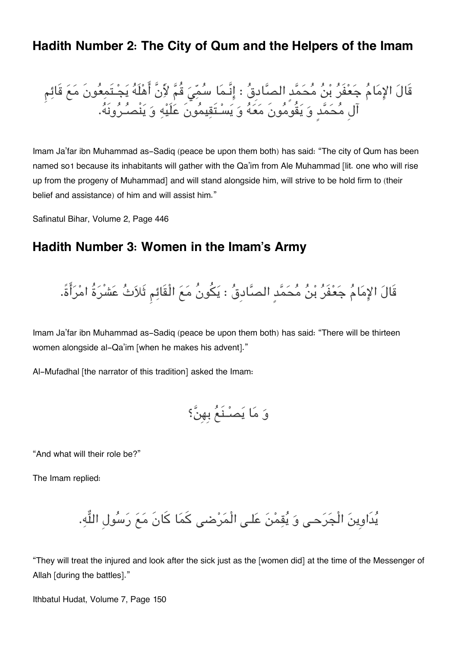## **[Hadith Number 2: The City of Qum and the Helpers of the Imam](#page--1-0)**

قَال الامام جعفَر بن محمدٍ الصادِق : انَّـما سم قُم لأَنَّ اهلَه يجـتَمعونَ مع قَائم آلِ محمدٍ و يقُومونَ معه و يسـتَقيمونَ علَيه و ينْصـرونَه.

Imam Ja'far ibn Muhammad as-Sadiq (peace be upon them both) has said: "The city of Qum has been named so[1](#page--1-0) because its inhabitants will gather with the Qa'im from Ale Muhammad [lit. one who will rise up from the progeny of Muhammad] and will stand alongside him, will strive to be hold firm to (their belief and assistance) of him and will assist him."

Safinatul Bihar, Volume 2, Page 446

# **[Hadith Number 3: Women in the Imam's Army](#page--1-0)**

قَالَ الإِمَامُ جَعْفَرُ بْنُ مُحَمَّدٍ الصَّادِقُ : يَكُونُ مَعَ الْقَائِمِ ثَلاَثُ عَشْرَةُ امْرَأَةً.

Imam Ja'far ibn Muhammad as-Sadiq (peace be upon them both) has said: "There will be thirteen women alongside al-Qa'im [when he makes his advent]."

Al-Mufadhal [the narrator of this tradition] asked the Imam:

و ما يصـنَع بِهِن؟

"And what will their role be?"

The Imam replied:

يدَاوِين الْجرحـ و يقمن علـ الْمرض كما كانَ مع رسولِ اله.

"They will treat the injured and look after the sick just as the [women did] at the time of the Messenger of Allah [during the battles]."

Ithbatul Hudat, Volume 7, Page 150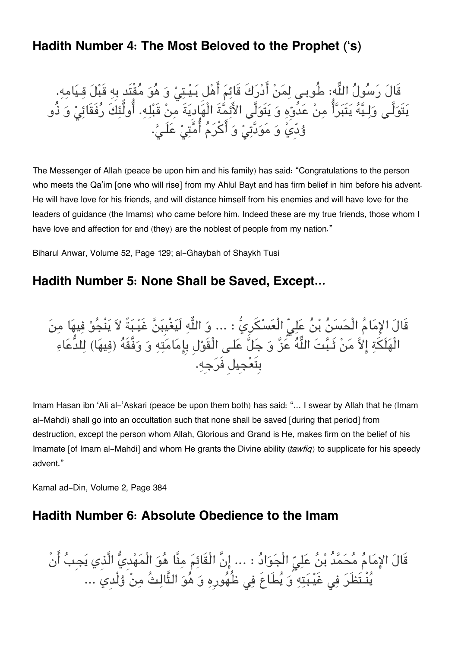# **[Hadith Number 4: The Most Beloved to the Prophet \('s\)](#page--1-0)**

قَالَ رَسُولَ اللَّهِ: طُوبِـي لِمَنْ أَدْرَكَ قَائِمَ أَهْلَ بَـيْـتِيْ وَ هُوَ مُقِتَدٍ بِهِ قَبْلَ قِـيَامِهِ. يَتَوَلَّـى وَلِـيَّهُ يَتَبَرَّآ مِنْ عَدُوَّهِ وَ يَتَوَلَّى الأَئِمَّةَ الْهَادِيَةَ مِنْ قَبْلِهِ. اولئِكَ رَفَقَائِيْ وَ ذُو وُدِّيَّ وَ مَوَدَّتِیْ وَ أَكْرَمُ أُمَّتِیْ عَلَـیَّ.

The Messenger of Allah (peace be upon him and his family) has said: "Congratulations to the person who meets the Qa'im [one who will rise] from my Ahlul Bayt and has firm belief in him before his advent. He will have love for his friends, and will distance himself from his enemies and will have love for the leaders of guidance (the Imams) who came before him. Indeed these are my true friends, those whom I have love and affection for and (they) are the noblest of people from my nation."

Biharul Anwar, Volume 52, Page 129; al-Ghaybah of Shaykh Tusi

# **[Hadith Number 5: None Shall be Saved, Except…](#page--1-0)**

قَالَ الإِمَامُ الْحَسَنُ بْنُ عَلِيّ الْعَسْكَرِيُّ : ... وَ اللَّهِ لَيَغْيِبَنَّ غَيْـبَةً لاَ يَنْجُوْ فِيهَا مِنَ الْهَلَكَةِ إِلاَّ مَنْ ثَبَّتَ اللَّهُ عََنَّ وَ جَلَّ عَلـى الْقَوْلِ بِإِمَامَتِهِ وَ وَفَّقَهُ (فِيهَا) لِلدُّعَاءِ بِتَعجِيل فَرجِه.

Imam Hasan ibn 'Ali al-'Askari (peace be upon them both) has said: "... I swear by Allah that he (Imam al-Mahdi) shall go into an occultation such that none shall be saved [during that period] from destruction, except the person whom Allah, Glorious and Grand is He, makes firm on the belief of his Imamate [of Imam al-Mahdi] and whom He grants the Divine ability *(tawfiq)* to supplicate for his speedy advent."

Kamal ad-Din, Volume 2, Page 384

## **[Hadith Number 6: Absolute Obedience to the Imam](#page--1-0)**

قَالَ الإِمَامُ مُحَمَّدُ بْنُ عَلِيِّ الْجَوَادُ : ... إِنَّ الْقَائِمَ مِنَّا هُوَ الْمَهْدِيُّ الَّذِي يَجِبُ أَنْ يُنْـتَظَرَ فِي غَيْـبَتِهِ ۚ وَ يُطَاعَ فِي ظُهُورِهِ وَ هُوَ التَّالِثُ مِنْ وُلْدِيَ …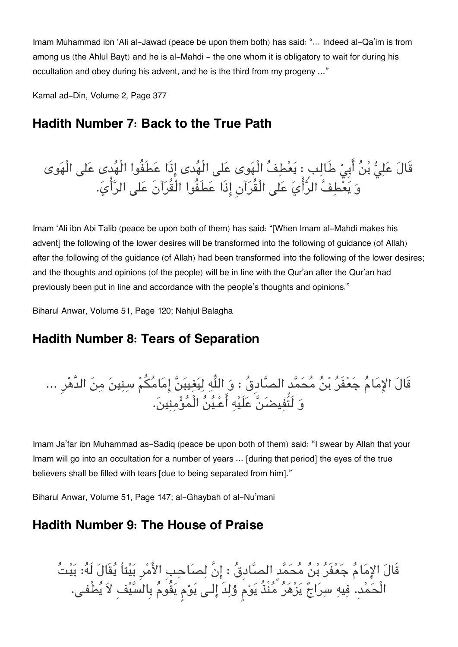Imam Muhammad ibn 'Ali al-Jawad (peace be upon them both) has said: "… Indeed al-Qa'im is from among us (the Ahlul Bayt) and he is al-Mahdi – the one whom it is obligatory to wait for during his occultation and obey during his advent, and he is the third from my progeny …"

Kamal ad-Din, Volume 2, Page 377

# **[Hadith Number 7: Back to the True Path](#page--1-0)**

قَالَ عَلِيٌّ بْنُ أَبِيْ طَالِبٍ : يَعْطِفُ الْهَوى عَلى الْهُدى إِذَا عَطَفُوا الْهُدى عَلى الْهَوى وَ يَعْطِفُ الرَّأْيَ عَلَى الْقُرَآنِ إِذَا عَطَفُوا الْقُرَآنَ عَلى الرَّأْيَ.

Imam 'Ali ibn Abi Talib (peace be upon both of them) has said: "[When Imam al-Mahdi makes his advent] the following of the lower desires will be transformed into the following of guidance (of Allah) after the following of the guidance (of Allah) had been transformed into the following of the lower desires; and the thoughts and opinions (of the people) will be in line with the Qur'an after the Qur'an had previously been put in line and accordance with the people's thoughts and opinions."

Biharul Anwar, Volume 51, Page 120; Nahjul Balagha

# **[Hadith Number 8: Tears of Separation](#page--1-0)**

قَالَ الإِمَامُ جَعْفَرُ بْنُ مُحَمَّدِ الصَّادِقُ : وَ اللُّهِ لِيَغِيبَنَّ إِمَامُكُمْ سِنِينَ مِنَ الدَّهْرِ ... و لَتَفيضن علَيه اعـين الْمومنين.

Imam Ja'far ibn Muhammad as-Sadiq (peace be upon both of them) said: "I swear by Allah that your Imam will go into an occultation for a number of years … [during that period] the eyes of the true believers shall be filled with tears [due to being separated from him]."

Biharul Anwar, Volume 51, Page 147; al-Ghaybah of al-Nu'mani

# **[Hadith Number 9: The House of Praise](#page--1-0)**

قَالَ الإِمَامُ جَعْفَرُ بْنُ مُحَمَّدٍ الصَّادِقُ : إِنَّ لِصَاحِبِ الأَمْرِ بَيْتاً يُقَالَ لَهُ: بَيْتُ الْحَمْدِ. فِيهِ سِرَاجٌ يَزْهَرُ مُّنْذُ يَوْم وُلِدَ إِلـى يَوْم يَقُومُ بِالسَّيْفِ لاَ يُطْفـى.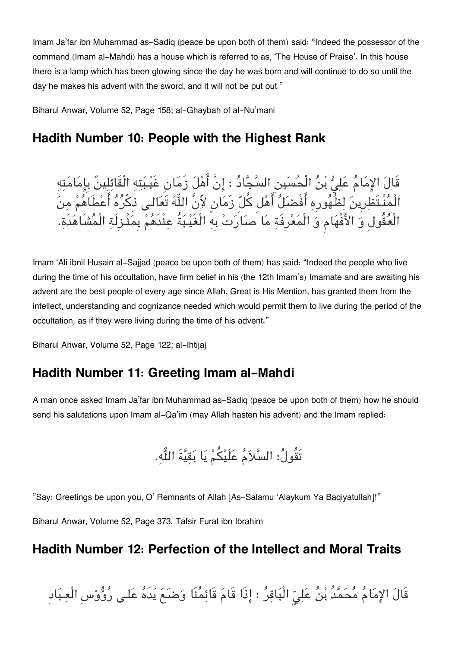Imam Ja'far ibn Muhammad as-Sadiq (peace be upon both of them) said: "Indeed the possessor of the command (Imam al-Mahdi) has a house which is referred to as, 'The House of Praise'. In this house there is a lamp which has been glowing since the day he was born and will continue to do so until the day he makes his advent with the sword, and it will not be put out."

Biharul Anwar, Volume 52, Page 158; al-Ghaybah of al-Nu'mani

# **[Hadith Number 10: People with the Highest Rank](#page--1-0)**

قَالَ الإِمَامُ عَلِيُّ بْنُ الْحُسَينِ السَّجَّادُ : إِنَّ أَهْلَ زَمَانِ غَيْبَتِهِ الْقَائِلِينَ بِإِمَامَتِهِ الْمُنْـتَظِرِينَ لِظُهُورِهِ أَفْضَلُ أَهْل كُلّ زَمَانٍ لأَنَّ اللَّهَ تَعَالـى ذِكْرُهُ أَعْطَاهُمْ مِنَ الْعُقُولِ وَ الأَفْهَامِ وَ الْمَعْرِفَةِ مَا صَارَتْ بِهِ الْغَيْـبَةُ عِنْدَهُمْ بِمَنْـزِلَةِ الْمُشَاهَدَةِ.

Imam 'Ali ibnil Husain al-Sajjad (peace be upon both of them) has said: "Indeed the people who live during the time of his occultation, have firm belief in his (the 12th Imam's) Imamate and are awaiting his advent are the best people of every age since Allah, Great is His Mention, has granted them from the intellect, understanding and cognizance needed which would permit them to live during the period of the occultation, as if they were living during the time of his advent."

Biharul Anwar, Volume 52, Page 122; al-Ihtijaj

# **[Hadith Number 11: Greeting Imam al-Mahdi](#page--1-0)**

A man once asked Imam Ja'far ibn Muhammad as-Sadiq (peace be upon both of them) how he should send his salutations upon Imam al-Qa'im (may Allah hasten his advent) and the Imam replied:

تَقُولُ: السَّلاَمُ عَلَيْكُمْ يَا بَقيَّةَ اللُّه.

"Say: Greetings be upon you, O' Remnants of Allah [As-Salamu 'Alaykum Ya Baqiyatullah]!"

Biharul Anwar, Volume 52, Page 373, Tafsir Furat ibn Ibrahim

## **[Hadith Number 12: Perfection of the Intellect and Moral Traits](#page--1-0)**

قَالَ الإِمَامُ مُحَمَّدُ بْنُ عَلِيّ الْبَاقِرُ : إِذَا قَامَ قَائِمُنَا وَضَعَ يَدَهُ عَلـى رُوُّوْسِ الْعِبَادِ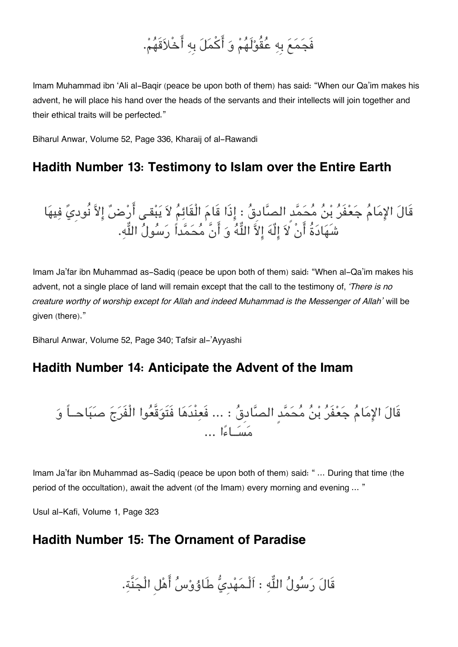# فَجمع بِه عقُولَهم و اكمل بِه اخْلاقَهم.

Imam Muhammad ibn 'Ali al-Baqir (peace be upon both of them) has said: "When our Qa'im makes his advent, he will place his hand over the heads of the servants and their intellects will join together and their ethical traits will be perfected."

Biharul Anwar, Volume 52, Page 336, Kharaij of al-Rawandi

# **[Hadith Number 13: Testimony to Islam over the Entire Earth](#page--1-0)**

قَالَ الإِمَامَ جَعْفَرَ بْنَ مَحَمَّدِ الصَّادِقَ : إِذَا قَامَ الْقَائِمَ لاَ يَبْقـي ارْضَ إِلاَّ نُودِيَ فِيهَا شَهَادَةَ انْ لاَ إِلهَ إِلاَّ اللّهَ وَ انْ مَحَمّداً رَسُولَ اللّهِ.

Imam Ja'far ibn Muhammad as-Sadiq (peace be upon both of them) said: "When al-Qa'im makes his advent, not a single place of land will remain except that the call to the testimony of, *'There is no creature worthy of worship except for Allah and indeed Muhammad is the Messenger of Allah'* will be given (there)."

Biharul Anwar, Volume 52, Page 340; Tafsir al-'Ayyashi

# **[Hadith Number 14: Anticipate the Advent of the Imam](#page--1-0)**

قَال الامام جعفَر بن محمدٍ الصادِق : ... فَعنْدَها فَتَوقَّعوا الْفَرج صباحــاً و مســاءا ...

Imam Ja'far ibn Muhammad as-Sadiq (peace be upon both of them) said: "... During that time (the period of the occultation), await the advent (of the Imam) every morning and evening … "

Usul al-Kafi, Volume 1, Page 323

# **[Hadith Number 15: The Ornament of Paradise](#page--1-0)**

قَالَ رَسُولُ اللَّهِ : اَلْـمَهْديُّ طَاوُوْسُ أَهْلِ الْجَنَّةِ.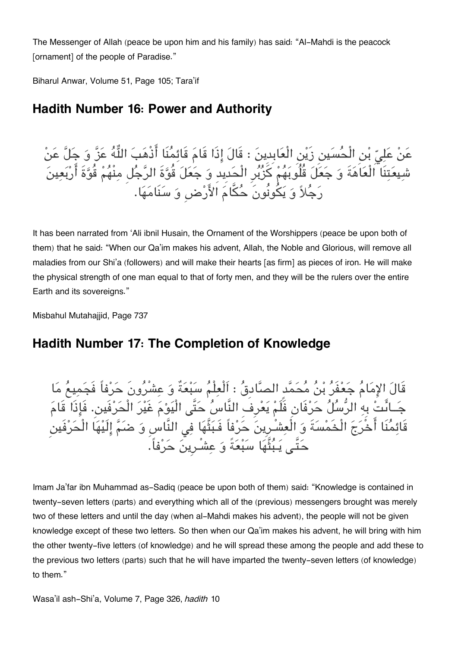The Messenger of Allah (peace be upon him and his family) has said: "Al-Mahdi is the peacock [ornament] of the people of Paradise."

Biharul Anwar, Volume 51, Page 105; Tara'if

# **[Hadith Number 16: Power and Authority](#page--1-0)**

عَنْ عَلِيِّ بْنِ الْحُسَينِ زَيْنِ الْعَابِدِينَ : قَالَ إِذَا قَامَ قَائِمُنَا أَذْهَبَ اللَّهُ عَزَّ وَ جَلَّ عَنْ شيعتنَا الْعاهةَ و جعل قُلُوبهم كزبرِ الْحدِيدِ و جعل قُوةَ الرجل منْهم قُوةَ اربعين رَجُلاً وَ يَكُونُونَ حُكَّامَ الأَرْضِ وَ سَنَامَهَا.

It has been narrated from 'Ali ibnil Husain, the Ornament of the Worshippers (peace be upon both of them) that he said: "When our Qa'im makes his advent, Allah, the Noble and Glorious, will remove all maladies from our Shi'a (followers) and will make their hearts [as firm] as pieces of iron. He will make the physical strength of one man equal to that of forty men, and they will be the rulers over the entire Earth and its sovereigns."

Misbahul Mutahajjid, Page 737

# **[Hadith Number 17: The Completion of Knowledge](#page--1-0)**

قَال الامام جعفَر بن محمدٍ الصادِق : اَلْعلْم سبعةٌ و عشْرونَ حرفاً فَجميع ما جَــاَىتْ بِهِ الرّسَلَ حَرْفَانِ فَلَمْ يَعْرِفُ النَّاسَ حَتَّى الْيَوْمَ غَيْرَ الْحَرْفَين. فَإِذَا قَامَ قَائِمَنَا اخْرَجَ الْخَمْسَةَ وَ الْعِشْـرِينَ حَرْفاً فَـبَتْهَا فِي النَّاسِ وَ ضَـمّ إِلَيْهَا الْحَرْفَين حَتَّـ<sub>م</sub> يَـبُثُّهَا سَبْعَةً وَ عِشْـرِينَ حَرْفاً.

Imam Ja'far ibn Muhammad as-Sadiq (peace be upon both of them) said: "Knowledge is contained in twenty-seven letters (parts) and everything which all of the (previous) messengers brought was merely two of these letters and until the day (when al-Mahdi makes his advent), the people will not be given knowledge except of these two letters. So then when our Qa'im makes his advent, he will bring with him the other twenty-five letters (of knowledge) and he will spread these among the people and add these to the previous two letters (parts) such that he will have imparted the twenty-seven letters (of knowledge) to them."

Wasa'il ash-Shi'a, Volume 7, Page 326, *hadith* 10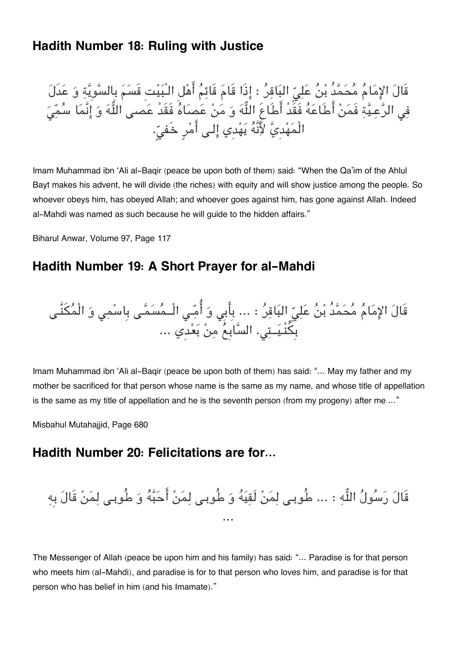# **[Hadith Number 18: Ruling with Justice](#page--1-0)**

قَالَ الإِمَامَ مَحَمَّدَ بْنُ عَلِيِّ الْبَاقِرُ : إِذَا قَامَ قَائِمَ أَهْلِ الْـبَيْتِ قَسَمَ بِالسَّوِيَّةِ وَ عَدَلَ فِي الرَّعِيَّةِ فَمَنْ اطَاعَهُ فَقَدْ أَطَاعِ اللَّهَ وَ مَنْ عَصَاهَ فَقَدْ عَصَى اللَّهَ وَ إِنَّمَا سَمَّي الْمَهْدِيَّ لِأَنَّهُ يَهْدِي إِلـى أَمْرِ خَفيِّ.

Imam Muhammad ibn 'Ali al-Baqir (peace be upon both of them) said: "When the Qa'im of the Ahlul Bayt makes his advent, he will divide (the riches) with equity and will show justice among the people. So whoever obeys him, has obeyed Allah; and whoever goes against him, has gone against Allah. Indeed al-Mahdi was named as such because he will guide to the hidden affairs."

Biharul Anwar, Volume 97, Page 117

# **[Hadith Number 19: A Short Prayer for al-Mahdi](#page--1-0)**

قَالَ الإِمَامَ مَحَمَّدَ بْنُ عَلِيِّ الْبَاقِرُ : ... بِابِي وَ اُمِّـِي الْــمَسَمَّـي بِاسْمِي وَ الْمَكْنَـي بِكَنْـيَــتِي. السّابِعُ مِنْ بَعْدِي ...

Imam Muhammad ibn 'Ali al-Baqir (peace be upon both of them) has said: "… May my father and my mother be sacrificed for that person whose name is the same as my name, and whose title of appellation is the same as my title of appellation and he is the seventh person (from my progeny) after me …"

Misbahul Mutahajjid, Page 680

## **[Hadith Number 20: Felicitations are for…](#page--1-0)**

قَالَ رَسُولُ اللَّهِ : … طُوبـى لِمَنْ لَقِيَهُ وَ طُوبـى لِمَنْ أَحَبَّهُ وَ طُوبـى لِمَنْ قَالَ بِهِ ...

The Messenger of Allah (peace be upon him and his family) has said: "… Paradise is for that person who meets him (al-Mahdi), and paradise is for to that person who loves him, and paradise is for that person who has belief in him (and his Imamate)."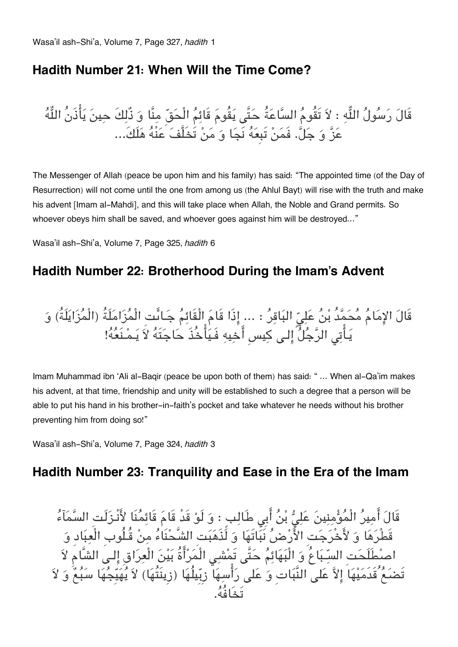# **[Hadith Number 21: When Will the Time Come?](#page--1-0)**

قَالَ رَسُولُ اللَّهِ : لاَ تَقُومُ السَّاعَةُ حَتَّى يَقُومَ قَائِمُ الْحَقِّ مِنَّا وَ ذُلِكَ حِينَ يَأْذَنُ اللَّهُ عَزَّ وَ جَلَّ. فَمَنْ تَبِعَهُ نَجَا وَ مَنْ تَخَلَّفَ عَنْهُ هَلَكَ...

The Messenger of Allah (peace be upon him and his family) has said: "The appointed time (of the Day of Resurrection) will not come until the one from among us (the Ahlul Bayt) will rise with the truth and make his advent [Imam al-Mahdi], and this will take place when Allah, the Noble and Grand permits. So whoever obeys him shall be saved, and whoever goes against him will be destroyed…"

Wasa'il ash-Shi'a, Volume 7, Page 325, *hadith* 6

# **[Hadith Number 22: Brotherhood During the Imam's Advent](#page--1-0)**

قَالَ الإِمَامَ مَحَمَّدُ بْنُ عَلِيِّ الْبَاقِرُ : ... إِذَا قَامَ الْقَائِمَ جَـائَتِ الْمَزَامَلَةُ (الْمَزَايَلَةُ) وَ يَـاَتِي الرّجَلَ إِلـِي كِيسِ أَخِيهِ فَـيَاخُذَ حَاجَتَهُ لاَ يَـمْـنَعُهُ!

Imam Muhammad ibn 'Ali al-Baqir (peace be upon both of them) has said: " … When al-Qa'im makes his advent, at that time, friendship and unity will be established to such a degree that a person will be able to put his hand in his brother-in-faith's pocket and take whatever he needs without his brother preventing him from doing so!"

Wasa'il ash-Shi'a, Volume 7, Page 324, *hadith* 3

# **[Hadith Number 23: Tranquility and Ease in the Era of the Imam](#page--1-0)**

قَالَ امِيرُ الْمَوْمِنِينَ عَلِيٌّ بْنَ ابِي طَالِبٍ : وَ لَوْ قَدْ قَامَ قَائِمَنَا لَأَنْـزَلَتِ السَّمَاءَ قَطْرها و لاخْرجتِ الارض نَباتَها و لَذَهبتِ الشَّحنَاء من قُـلُوبِ الْعبادِ و اصطَلَحتِ السـباعُ و الْبهائم حتَّ تَمش الْمراةُ بين الْعراقِ الـ الشَّام لا تَضعَعُ قَدَمَيْهَا إِلاَّ عَلى النَّبَاتِ وَ عَلى رَأْسِهَا ۖ زِبِّيلُهَا (زِينَتُهَا) لاَ يُهَيِّجُهَا سَبُعٌ وَ لاَ تَخَافُه.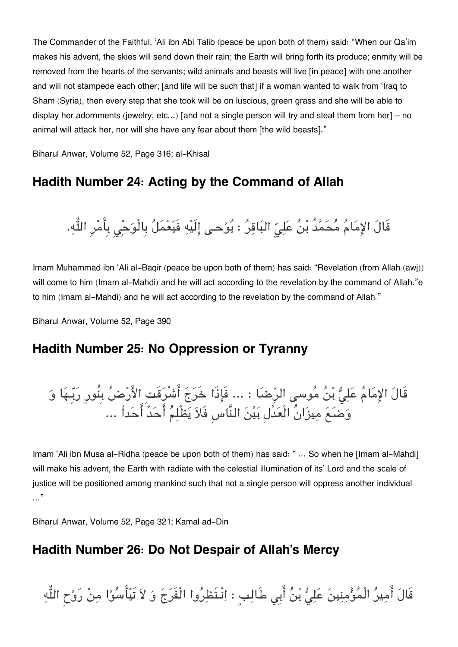The Commander of the Faithful, 'Ali ibn Abi Talib (peace be upon both of them) said: "When our Qa'im makes his advent, the skies will send down their rain; the Earth will bring forth its produce; enmity will be removed from the hearts of the servants; wild animals and beasts will live [in peace] with one another and will not stampede each other; [and life will be such that] if a woman wanted to walk from 'Iraq to Sham (Syria), then every step that she took will be on luscious, green grass and she will be able to display her adornments (jewelry, etc…) [and not a single person will try and steal them from her] – no animal will attack her, nor will she have any fear about them [the wild beasts]."

Biharul Anwar, Volume 52, Page 316; al-Khisal

# **[Hadith Number 24: Acting by the Command of Allah](#page--1-0)**

قَالَ الإِمَامُ مُحَمَّدُ بْنُ عَلِيّ البَاقِرُ : يُوْحـى إِلَيْهِ فَيَعْمَلُ بِالْوَحِْي بِأَمْرِ اللَّهِ.

Imam Muhammad ibn 'Ali al-Baqir (peace be upon both of them) has said: "Revelation (from Allah (awj)) will come to him (Imam al-Mahdi) and he will act according to the revelation by the command of Allah."e to him (Imam al-Mahdi) and he will act according to the revelation by the command of Allah."

Biharul Anwar, Volume 52, Page 390

## **[Hadith Number 25: No Oppression or Tyranny](#page--1-0)**

قَالَ الإِمَامُ عَلِيُّ بْنُ مُوسى الرِّضَا : ... فَإِذَا خَرَجَ أَشْرَقَتِ الأَرْضُ بِنُورِ رَبِّـهَا وَ وَضَعَ مِيزَانُ الْعَذُلِ بَيْنَ النَّاسِ فَلاَ يَطْلِمُ أَحَدٌ أَحَداً ...

Imam 'Ali ibn Musa al-Ridha (peace be upon both of them) has said: " ... So when he [Imam al-Mahdi] will make his advent, the Earth with radiate with the celestial illumination of its' Lord and the scale of justice will be positioned among mankind such that not a single person will oppress another individual …"

Biharul Anwar, Volume 52, Page 321; Kamal ad-Din

# **[Hadith Number 26: Do Not Despair of Allah's Mercy](#page--1-0)**

قَالَ أَمِيرُ الْمُؤْمِنِينَ عَلِيُّ بْنُ أَبِي طَالِبٍ : اِنْـتَظِرُوا الْفَرَجَ وَ لاَ تَيْأَسُوْا مِنْ رَوْحِ اللَّهِ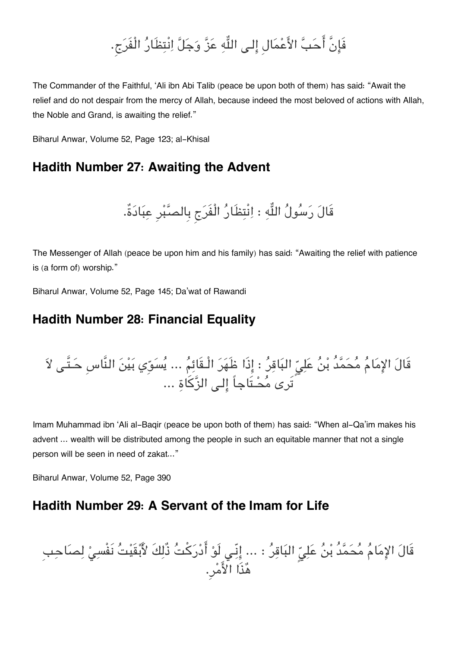# فَإِنَّ أَحَبَّ الأَعْمَالِ إِلـى اللَّهِ عَزَّ وَجَلَّ اِنْتِظَارُ الْفَرَج.

The Commander of the Faithful, 'Ali ibn Abi Talib (peace be upon both of them) has said: "Await the relief and do not despair from the mercy of Allah, because indeed the most beloved of actions with Allah, the Noble and Grand, is awaiting the relief."

Biharul Anwar, Volume 52, Page 123; al-Khisal

# **[Hadith Number 27: Awaiting the Advent](#page--1-0)**

قَالَ رَسُولُ اللَّهِ : اِنْتِظَارُ الْفَرَج بِالصَّبْرِ عِبَادَةٌ.

The Messenger of Allah (peace be upon him and his family) has said: "Awaiting the relief with patience is (a form of) worship."

Biharul Anwar, Volume 52, Page 145; Da'wat of Rawandi

# **[Hadith Number 28: Financial Equality](#page--1-0)**

قَالَ الإِمَامُ مُحَمَّدُ بْنُ عَلِيِّ البَاقِرُ : إِذَا ظَهَرَ الْـقَائِمُ ... يُسَوِّي بَيْنَ النَّاسِ حَـتَّـى لاَ تَرِي مُحْـتَاجاً إلـي الزَّكَاة ...

Imam Muhammad ibn 'Ali al-Baqir (peace be upon both of them) has said: "When al-Qa'im makes his advent … wealth will be distributed among the people in such an equitable manner that not a single person will be seen in need of zakat..."

Biharul Anwar, Volume 52, Page 390

## **[Hadith Number 29: A Servant of the Imam for Life](#page--1-0)**

قَالَ الإِمَامُ مُحَمَّدُ بْنُ عَلِيِّ البَاقِرُ : ... إِنِّي لَوْ أَدْرَكْتُ ذُلِكَ لأَبْقَيْتُ نَفْسِيْ لِصَاحِبِ هذَا الامر.ِ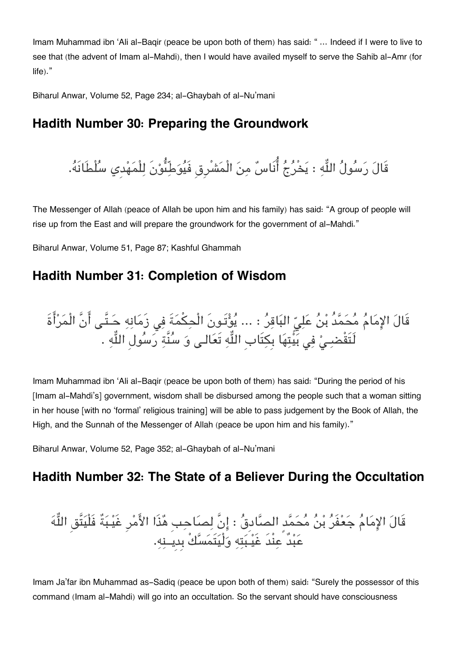Imam Muhammad ibn 'Ali al-Baqir (peace be upon both of them) has said: " … Indeed if I were to live to see that (the advent of Imam al-Mahdi), then I would have availed myself to serve the Sahib al-Amr (for life)."

Biharul Anwar, Volume 52, Page 234; al-Ghaybah of al-Nu'mani

# **[Hadith Number 30: Preparing the Groundwork](#page--1-0)**

قَالَ رَسُولُ اللَّهِ : يَخْرُجُ أُنَاسٌ مِنَ الْمَشْرِقِ فَيُوَطِّئُوْنَ لِلْمَهْدِي سُلْطَانَهُ.

The Messenger of Allah (peace of Allah be upon him and his family) has said: "A group of people will rise up from the East and will prepare the groundwork for the government of al-Mahdi."

Biharul Anwar, Volume 51, Page 87; Kashful Ghammah

# **[Hadith Number 31: Completion of Wisdom](#page--1-0)**

قَالَ الإِمَامُ مُحَمَّدُ بْنُ عَلِيِّ البَاقِرُ : ... يُؤْتَـونَ الْحِكْمَةَ فِي زَمَانِهِ حَـتَّـى أَنَّ الْمَرْأَةَ لَتَقْضـِيْ فِي بَيِّتِهَا بِكِتَابِ اللَّهِ تَعَالـى وَ سُنَّةٍ رَسُولِ اللَّهِ .

Imam Muhammad ibn 'Ali al-Baqir (peace be upon both of them) has said: "During the period of his [Imam al-Mahdi's] government, wisdom shall be disbursed among the people such that a woman sitting in her house [with no 'formal' religious training] will be able to pass judgement by the Book of Allah, the High, and the Sunnah of the Messenger of Allah (peace be upon him and his family)."

Biharul Anwar, Volume 52, Page 352; al-Ghaybah of al-Nu'mani

# **[Hadith Number 32: The State of a Believer During the Occultation](#page--1-0)**

قَالَ الإِمَامُ جَعْفَرُ بْنُ مُحَمَّدٍ الصَّادِقُ : إِنَّ لِصَاحِبِ هُذَا الأَمْرِ غَيْبَةٌ فَلْيَتَّقِ اللُّهَ عبدٌ عنْدَ غَيـبته ولْيتَمسكْ بِدِيــنه.

Imam Ja'far ibn Muhammad as-Sadiq (peace be upon both of them) said: "Surely the possessor of this command (Imam al-Mahdi) will go into an occultation. So the servant should have consciousness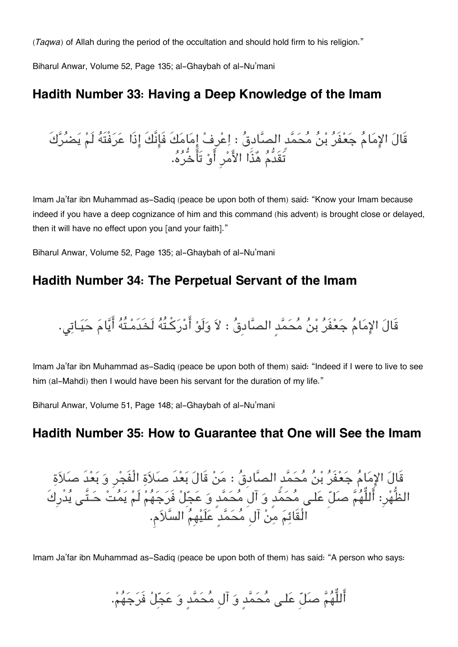*(Taqwa)* of Allah during the period of the occultation and should hold firm to his religion."

Biharul Anwar, Volume 52, Page 135; al-Ghaybah of al-Nu'mani

# **[Hadith Number 33: Having a Deep Knowledge of the Imam](#page--1-0)**

قَال الامام جعفَر بن محمدٍ الصادِق : اعرِف امامكَ فَانَّكَ اذَا عرفْتَه لَم يضركَ تَقَدُّم هذَا الامرِ او تَاخُّره.

Imam Ja'far ibn Muhammad as-Sadiq (peace be upon both of them) said: "Know your Imam because indeed if you have a deep cognizance of him and this command (his advent) is brought close or delayed, then it will have no effect upon you [and your faith]."

Biharul Anwar, Volume 52, Page 135; al-Ghaybah of al-Nu'mani

# **[Hadith Number 34: The Perpetual Servant of the Imam](#page--1-0)**

قَالَ الإِمَامُ جَعْفَرُ بْنُ مُحَمَّد الصَّادقُ : لاَ وَلَوْ أَدْرَكْتُهُ لَخَدَمْتُهُ أَيَّامَ حَيَـاتي.

Imam Ja'far ibn Muhammad as-Sadiq (peace be upon both of them) said: "Indeed if I were to live to see him (al-Mahdi) then I would have been his servant for the duration of my life."

Biharul Anwar, Volume 51, Page 148; al-Ghaybah of al-Nu'mani

# **[Hadith Number 35: How to Guarantee that One will See the Imam](#page--1-0)**

قَالَ الإِمَامُ جَعْفَرُ بْنُ مُحَمَّدٍ الصَّادِقُ : مَنْ قَالَ بَعْدَ صَلاَةِ الْفَجْرِ وَ بَعْدَ صَلاَةِ الظُّهْر: أَللُّهُمَّ صلّ عَلـى مُحَمَّدٍ وَ آلِ مُحَمَّدٍ وَ عَجِّلْ فَرَجَهُمْ لَمْ يَمُتْ حَـتَّـى يُدْرِكَ الْقَائم من آلِ محمدٍ علَيهِم السلام.

Imam Ja'far ibn Muhammad as-Sadiq (peace be upon both of them) has said: "A person who says:

أَللُّهُمَّ صَلِّ عَلـى مُحَمَّدٍ وَ آلِ مُحَمَّدٍ وَ عَجِّلْ فَرَجَهُمْ.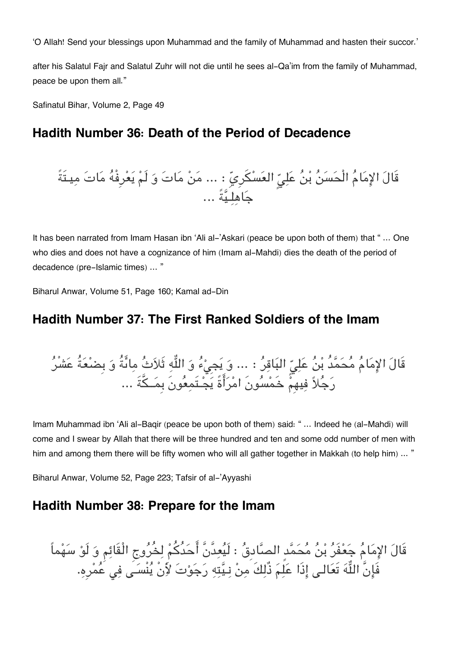'O Allah! Send your blessings upon Muhammad and the family of Muhammad and hasten their succor.'

after his Salatul Fajr and Salatul Zuhr will not die until he sees al-Qa'im from the family of Muhammad, peace be upon them all."

Safinatul Bihar, Volume 2, Page 49

# **[Hadith Number 36: Death of the Period of Decadence](#page--1-0)**

قَالَ الٍمِمَامُ ألُحَسَنُ بُنُ عَلِيٍّ العَسْكَرِيّ : ... مَنْ مَاتَ وَ لَمْ يَعُرِفُهُ مَاتَ مِيتَةً
$$
\sum_{i=1}^{n} a_i
$$

It has been narrated from Imam Hasan ibn 'Ali al-'Askari (peace be upon both of them) that " … One who dies and does not have a cognizance of him (Imam al-Mahdi) dies the death of the period of decadence (pre-Islamic times) … "

Biharul Anwar, Volume 51, Page 160; Kamal ad-Din

## **[Hadith Number 37: The First Ranked Soldiers of the Imam](#page--1-0)**

قَالَ الإِمَامَ مَحَمَّدَ بْنُ عَلِيِّ البَاقِرُ : ... وَ يَجِيْءَ وَ اللَّهِ ثَلاَثَ مِائَةً وَ بِضَعَةً عَشْر رجلا فيهِم خَمسونَ امراةً يجـتَمعونَ بِمــةَ ...

Imam Muhammad ibn 'Ali al-Baqir (peace be upon both of them) said: " … Indeed he (al-Mahdi) will come and I swear by Allah that there will be three hundred and ten and some odd number of men with him and among them there will be fifty women who will all gather together in Makkah (to help him) ... "

Biharul Anwar, Volume 52, Page 223; Tafsir of al-'Ayyashi

# **[Hadith Number 38: Prepare for the Imam](#page--1-0)**

قَال الامام جعفَر بن محمدٍ الصادِق : لَيعدَّنَّ احدُكم لخُروج الْقَائم و لَو سهماً فَإِنَّ اللَّهَ تَعَالَى إِذَا عَلِمَ ذَلِكَ مِنْ نِـيِّتِهِ رَجَوْتَ لأَنْ يَنْسَى فِي عَمْرِهِ.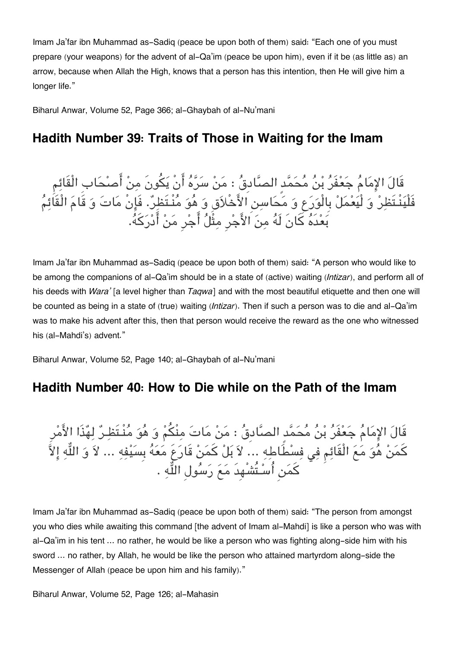Imam Ja'far ibn Muhammad as-Sadiq (peace be upon both of them) said: "Each one of you must prepare (your weapons) for the advent of al-Qa'im (peace be upon him), even if it be (as little as) an arrow, because when Allah the High, knows that a person has this intention, then He will give him a longer life."

Biharul Anwar, Volume 52, Page 366; al-Ghaybah of al-Nu'mani

# **[Hadith Number 39: Traits of Those in Waiting for the Imam](#page--1-0)**

قَالَ الإِمَامَ جَعْفَرَ بْنَ مَحَمَّدِ الصَّادِقَ : مَنْ سَرَّهَ أَنْ يَكُونَ مِنْ أَصنْحَابِ الْقَائِم فَلْينْـتَظر و لْيعمل بِالْورع و محاسن الاخْلاقِ و هو منْـتَظر. فَانْ مات و قَام الْقَائم بعدَه كانَ لَه من الاجرِ مثْل اجرِ من ادركه.

Imam Ja'far ibn Muhammad as-Sadiq (peace be upon both of them) said: "A person who would like to be among the companions of al-Qa'im should be in a state of (active) waiting *(Intizar)*, and perform all of his deeds with *Wara'* [a level higher than *Taqwa*] and with the most beautiful etiquette and then one will be counted as being in a state of (true) waiting *(Intizar)*. Then if such a person was to die and al-Qa'im was to make his advent after this, then that person would receive the reward as the one who witnessed his (al-Mahdi's) advent."

Biharul Anwar, Volume 52, Page 140; al-Ghaybah of al-Nu'mani

# **[Hadith Number 40: How to Die while on the Path of the Imam](#page--1-0)**

قَال الامام جعفَر بن محمدٍ الصادِق : من مات منْم و هو منْـتَظـر لهذَا الامرِ كمَنْ هُوَ مَعَ الْقَائِمِ فِي فِسْطَاطِهِ ... لاَ بَلْ كَمَنْ قَارَعَ مَعَهُ بِسَيْفِهِ ... لاَ وَ اللّهِ إِلاّ كَمَن أُسْـتُشْهِدَ مَعَ رَسُولِ اللَّهِ .

Imam Ja'far ibn Muhammad as-Sadiq (peace be upon both of them) said: "The person from amongst you who dies while awaiting this command [the advent of Imam al-Mahdi] is like a person who was with al-Qa'im in his tent … no rather, he would be like a person who was fighting along-side him with his sword … no rather, by Allah, he would be like the person who attained martyrdom along-side the Messenger of Allah (peace be upon him and his family)."

Biharul Anwar, Volume 52, Page 126; al-Mahasin